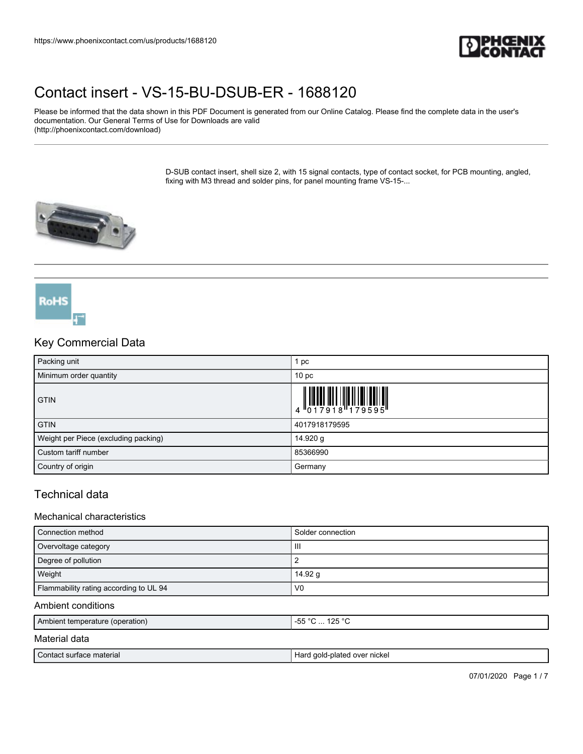

Please be informed that the data shown in this PDF Document is generated from our Online Catalog. Please find the complete data in the user's documentation. Our General Terms of Use for Downloads are valid (http://phoenixcontact.com/download)

> D-SUB contact insert, shell size 2, with 15 signal contacts, type of contact socket, for PCB mounting, angled, fixing with M3 thread and solder pins, for panel mounting frame VS-15-...



# Key Commercial Data

**RoHS** 

| Packing unit                         | pc              |
|--------------------------------------|-----------------|
| Minimum order quantity               | 10 <sub>p</sub> |
| <b>GTIN</b>                          |                 |
| <b>GTIN</b>                          | 4017918179595   |
| Weight per Piece (excluding packing) | 14.920 g        |
| Custom tariff number                 | 85366990        |
| Country of origin                    | Germany         |

## Technical data

#### Mechanical characteristics

| Connection method                      | Solder connection |
|----------------------------------------|-------------------|
| Overvoltage category                   | Ш                 |
| Degree of pollution                    |                   |
| Weight                                 | 14.92 g           |
| Flammability rating according to UL 94 | V <sub>0</sub>    |

#### Ambient conditions

| Ambient temperature (operation) | 125 $\degree$ C<br>$\sim$<br>$- -$<br>$\mathbf{h}$<br>ں ے ا<br>~ט<br>.<br>ີ |
|---------------------------------|-----------------------------------------------------------------------------|
| <b>BAILY LILL</b>               |                                                                             |

#### Material data

| ⌒<br>`ontact .<br>material<br>$\sim$<br>-aurre<br>aut | Horr<br><sup>.</sup> nickel<br>30 <sup>2</sup><br>over<br>nlateo<br>uon<br>-11 |
|-------------------------------------------------------|--------------------------------------------------------------------------------|
|                                                       |                                                                                |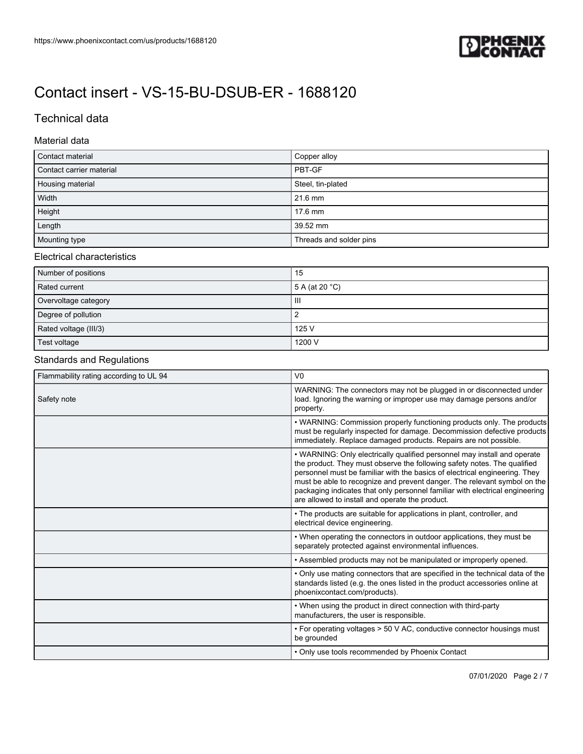

## Technical data

#### Material data

| Contact material         | Copper alloy            |
|--------------------------|-------------------------|
| Contact carrier material | PBT-GF                  |
| Housing material         | Steel, tin-plated       |
| Width                    | 21.6 mm                 |
| Height                   | 17.6 mm                 |
| Length                   | 39.52 mm                |
| Mounting type            | Threads and solder pins |

### Electrical characteristics

| Number of positions   | 15                       |
|-----------------------|--------------------------|
| Rated current         | 5 A (at 20 $^{\circ}$ C) |
| Overvoltage category  | Ш                        |
| Degree of pollution   |                          |
| Rated voltage (III/3) | 125 V                    |
| Test voltage          | 1200 V                   |

## Standards and Regulations

| Flammability rating according to UL 94 | V <sub>0</sub>                                                                                                                                                                                                                                                                                                                                                                                                                                    |
|----------------------------------------|---------------------------------------------------------------------------------------------------------------------------------------------------------------------------------------------------------------------------------------------------------------------------------------------------------------------------------------------------------------------------------------------------------------------------------------------------|
| Safety note                            | WARNING: The connectors may not be plugged in or disconnected under<br>load. Ignoring the warning or improper use may damage persons and/or<br>property.                                                                                                                                                                                                                                                                                          |
|                                        | • WARNING: Commission properly functioning products only. The products<br>must be regularly inspected for damage. Decommission defective products<br>immediately. Replace damaged products. Repairs are not possible.                                                                                                                                                                                                                             |
|                                        | • WARNING: Only electrically qualified personnel may install and operate<br>the product. They must observe the following safety notes. The qualified<br>personnel must be familiar with the basics of electrical engineering. They<br>must be able to recognize and prevent danger. The relevant symbol on the<br>packaging indicates that only personnel familiar with electrical engineering<br>are allowed to install and operate the product. |
|                                        | • The products are suitable for applications in plant, controller, and<br>electrical device engineering.                                                                                                                                                                                                                                                                                                                                          |
|                                        | . When operating the connectors in outdoor applications, they must be<br>separately protected against environmental influences.                                                                                                                                                                                                                                                                                                                   |
|                                        | • Assembled products may not be manipulated or improperly opened.                                                                                                                                                                                                                                                                                                                                                                                 |
|                                        | • Only use mating connectors that are specified in the technical data of the<br>standards listed (e.g. the ones listed in the product accessories online at<br>phoenixcontact.com/products).                                                                                                                                                                                                                                                      |
|                                        | • When using the product in direct connection with third-party<br>manufacturers, the user is responsible.                                                                                                                                                                                                                                                                                                                                         |
|                                        | • For operating voltages > 50 V AC, conductive connector housings must<br>be grounded                                                                                                                                                                                                                                                                                                                                                             |
|                                        | • Only use tools recommended by Phoenix Contact                                                                                                                                                                                                                                                                                                                                                                                                   |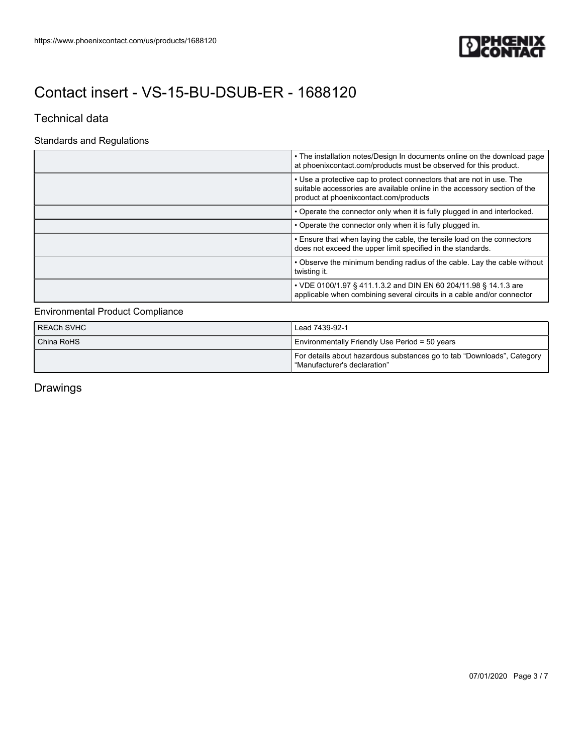

### Technical data

### Standards and Regulations

| • The installation notes/Design In documents online on the download page<br>at phoenix contact.com/products must be observed for this product.                                                |
|-----------------------------------------------------------------------------------------------------------------------------------------------------------------------------------------------|
| • Use a protective cap to protect connectors that are not in use. The<br>suitable accessories are available online in the accessory section of the<br>product at phoenix contact.com/products |
| • Operate the connector only when it is fully plugged in and interlocked.                                                                                                                     |
| • Operate the connector only when it is fully plugged in.                                                                                                                                     |
| . Ensure that when laying the cable, the tensile load on the connectors<br>does not exceed the upper limit specified in the standards.                                                        |
| • Observe the minimum bending radius of the cable. Lay the cable without<br>twisting it.                                                                                                      |
| • VDE 0100/1.97 § 411.1.3.2 and DIN EN 60 204/11.98 § 14.1.3 are<br>applicable when combining several circuits in a cable and/or connector                                                    |

### Environmental Product Compliance

| I REACh SVHC | Lead 7439-92-1                                                                                           |
|--------------|----------------------------------------------------------------------------------------------------------|
| China RoHS   | Environmentally Friendly Use Period = 50 years                                                           |
|              | For details about hazardous substances go to tab "Downloads", Category<br>l "Manufacturer's declaration" |

Drawings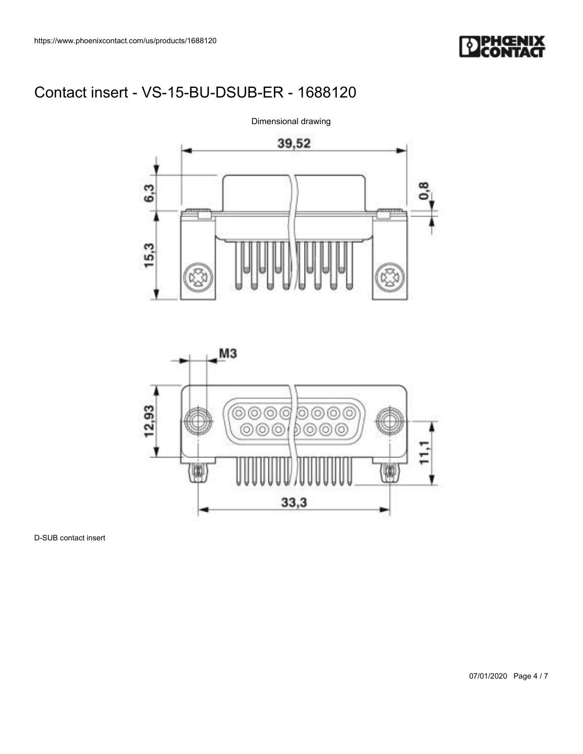





D-SUB contact insert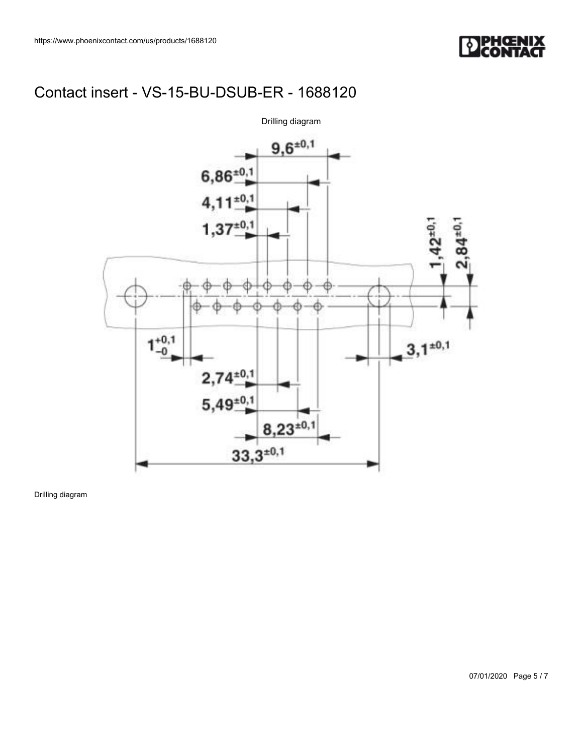



Drilling diagram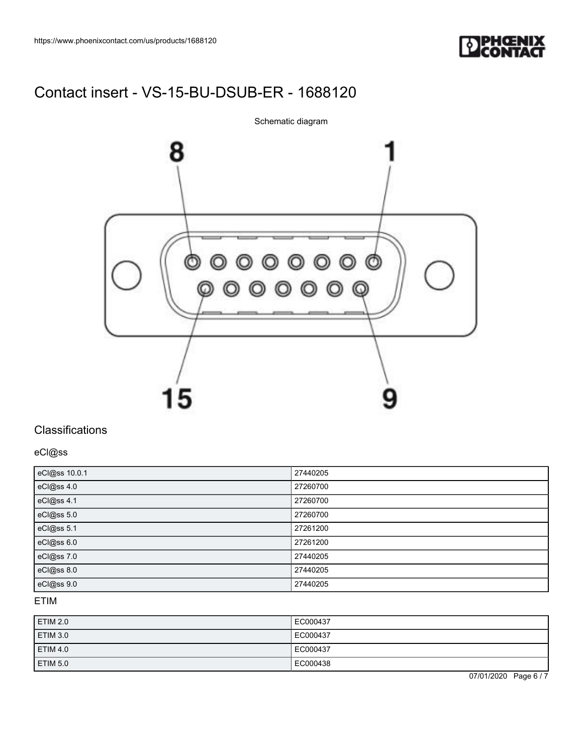

8 0000000<br>000000 ⊚ 15

Schematic diagram

## **Classifications**

eCl@ss

| eCl@ss 10.0.1 | 27440205 |
|---------------|----------|
| eCl@ss 4.0    | 27260700 |
| eCl@ss 4.1    | 27260700 |
| eCl@ss 5.0    | 27260700 |
| eCl@ss 5.1    | 27261200 |
| eCl@ss 6.0    | 27261200 |
| eCl@ss 7.0    | 27440205 |
| eCl@ss 8.0    | 27440205 |
| eCl@ss 9.0    | 27440205 |

### ETIM

| <b>ETIM 2.0</b> | EC000437 |
|-----------------|----------|
| ETIM 3.0        | EC000437 |
| <b>ETIM 4.0</b> | EC000437 |
| ETIM 5.0        | EC000438 |

07/01/2020 Page 6 / 7